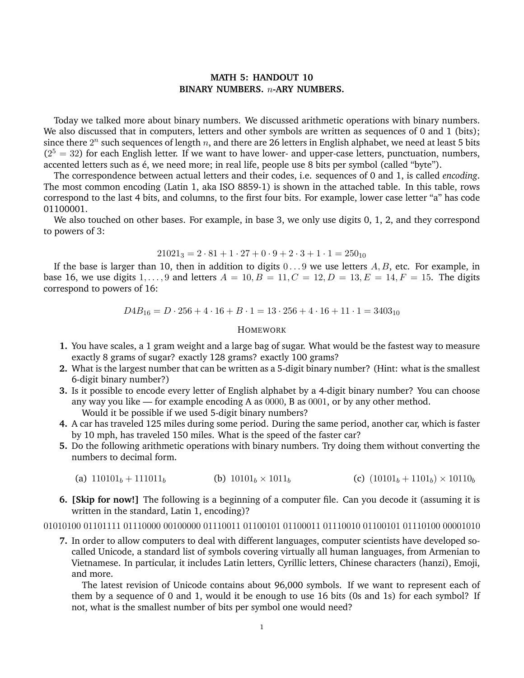# **MATH 5: HANDOUT 10 BINARY NUMBERS.** *n***-ARY NUMBERS.**

Today we talked more about binary numbers. We discussed arithmetic operations with binary numbers. We also discussed that in computers, letters and other symbols are written as sequences of 0 and 1 (bits); since there  $2^n$  such sequences of length *n*, and there are 26 letters in English alphabet, we need at least 5 bits  $(2<sup>5</sup> = 32)$  for each English letter. If we want to have lower- and upper-case letters, punctuation, numbers, accented letters such as é, we need more; in real life, people use 8 bits per symbol (called "byte").

The correspondence between actual letters and their codes, i.e. sequences of 0 and 1, is called *encoding*. The most common encoding (Latin 1, aka ISO 8859-1) is shown in the attached table. In this table, rows correspond to the last 4 bits, and columns, to the first four bits. For example, lower case letter "a" has code 01100001.

We also touched on other bases. For example, in base 3, we only use digits 0, 1, 2, and they correspond to powers of 3:

## $21021_3 = 2 \cdot 81 + 1 \cdot 27 + 0 \cdot 9 + 2 \cdot 3 + 1 \cdot 1 = 250_{10}$

If the base is larger than 10, then in addition to digits  $0 \ldots 9$  we use letters  $A, B$ , etc. For example, in base 16, we use digits  $1, \ldots, 9$  and letters  $A = 10, B = 11, C = 12, D = 13, E = 14, F = 15$ . The digits correspond to powers of 16:

 $D4B_{16} = D \cdot 256 + 4 \cdot 16 + B \cdot 1 = 13 \cdot 256 + 4 \cdot 16 + 11 \cdot 1 = 3403_{10}$ 

### HOMEWORK

- **1.** You have scales, a 1 gram weight and a large bag of sugar. What would be the fastest way to measure exactly 8 grams of sugar? exactly 128 grams? exactly 100 grams?
- **2.** What is the largest number that can be written as a 5-digit binary number? (Hint: what is the smallest 6-digit binary number?)
- **3.** Is it possible to encode every letter of English alphabet by a 4-digit binary number? You can choose any way you like — for example encoding A as  $0000$ , B as  $0001$ , or by any other method. Would it be possible if we used 5-digit binary numbers?
- **4.** A car has traveled 125 miles during some period. During the same period, another car, which is faster by 10 mph, has traveled 150 miles. What is the speed of the faster car?
- **5.** Do the following arithmetic operations with binary numbers. Try doing them without converting the numbers to decimal form.
	- (a)  $110101<sub>b</sub> + 111011<sub>b</sub>$  (b)  $10101<sub>b</sub> \times 1011<sub>b</sub>$  (c)  $(10101<sub>b</sub> + 1101<sub>b</sub>) \times 10110<sub>b</sub>$
- **6. [Skip for now!]** The following is a beginning of a computer file. Can you decode it (assuming it is written in the standard, Latin 1, encoding)?

### 01010100 01101111 01110000 00100000 01110011 01100101 01100011 01110010 01100101 01110100 00001010

**7.** In order to allow computers to deal with different languages, computer scientists have developed socalled Unicode, a standard list of symbols covering virtually all human languages, from Armenian to Vietnamese. In particular, it includes Latin letters, Cyrillic letters, Chinese characters (hanzi), Emoji, and more.

The latest revision of Unicode contains about 96,000 symbols. If we want to represent each of them by a sequence of 0 and 1, would it be enough to use 16 bits (0s and 1s) for each symbol? If not, what is the smallest number of bits per symbol one would need?